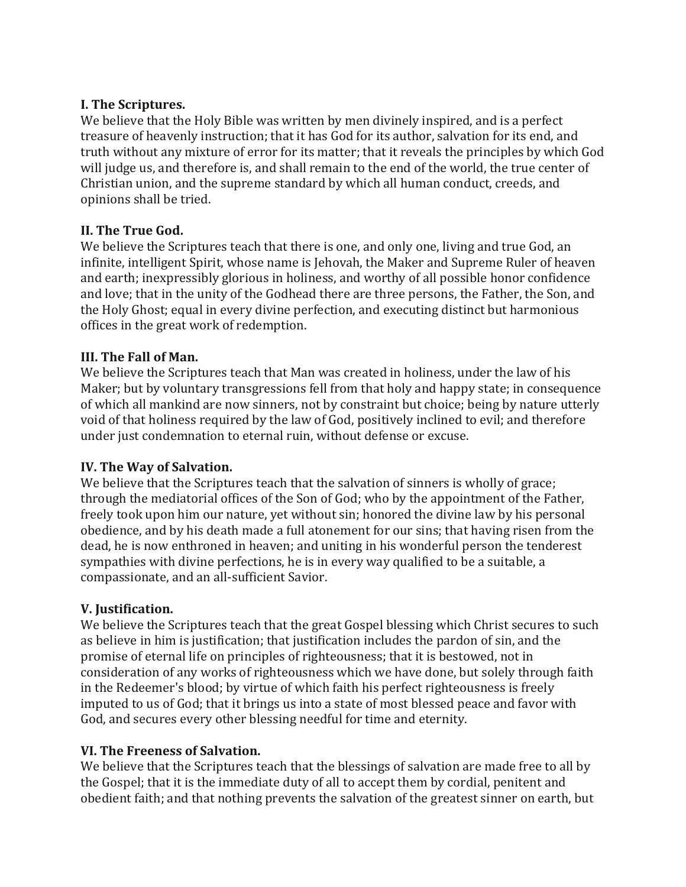#### **I. The Scriptures.**

We believe that the Holy Bible was written by men divinely inspired, and is a perfect treasure of heavenly instruction; that it has God for its author, salvation for its end, and truth without any mixture of error for its matter; that it reveals the principles by which God will judge us, and therefore is, and shall remain to the end of the world, the true center of Christian union, and the supreme standard by which all human conduct, creeds, and opinions shall be tried.

### **II. The True God.**

We believe the Scriptures teach that there is one, and only one, living and true God, an infinite, intelligent Spirit, whose name is Jehovah, the Maker and Supreme Ruler of heaven and earth; inexpressibly glorious in holiness, and worthy of all possible honor confidence and love; that in the unity of the Godhead there are three persons, the Father, the Son, and the Holy Ghost; equal in every divine perfection, and executing distinct but harmonious offices in the great work of redemption.

#### **III. The Fall of Man.**

We believe the Scriptures teach that Man was created in holiness, under the law of his Maker; but by voluntary transgressions fell from that holy and happy state; in consequence of which all mankind are now sinners, not by constraint but choice; being by nature utterly void of that holiness required by the law of God, positively inclined to evil; and therefore under just condemnation to eternal ruin, without defense or excuse.

### **IV. The Way of Salvation.**

We believe that the Scriptures teach that the salvation of sinners is wholly of grace; through the mediatorial offices of the Son of God; who by the appointment of the Father, freely took upon him our nature, yet without sin; honored the divine law by his personal obedience, and by his death made a full atonement for our sins; that having risen from the dead, he is now enthroned in heaven; and uniting in his wonderful person the tenderest sympathies with divine perfections, he is in every way qualified to be a suitable, a compassionate, and an all-sufficient Savior.

### **V. Justification.**

We believe the Scriptures teach that the great Gospel blessing which Christ secures to such as believe in him is justification; that justification includes the pardon of sin, and the promise of eternal life on principles of righteousness; that it is bestowed, not in consideration of any works of righteousness which we have done, but solely through faith in the Redeemer's blood; by virtue of which faith his perfect righteousness is freely imputed to us of God; that it brings us into a state of most blessed peace and favor with God, and secures every other blessing needful for time and eternity.

### **VI. The Freeness of Salvation.**

We believe that the Scriptures teach that the blessings of salvation are made free to all by the Gospel; that it is the immediate duty of all to accept them by cordial, penitent and obedient faith; and that nothing prevents the salvation of the greatest sinner on earth, but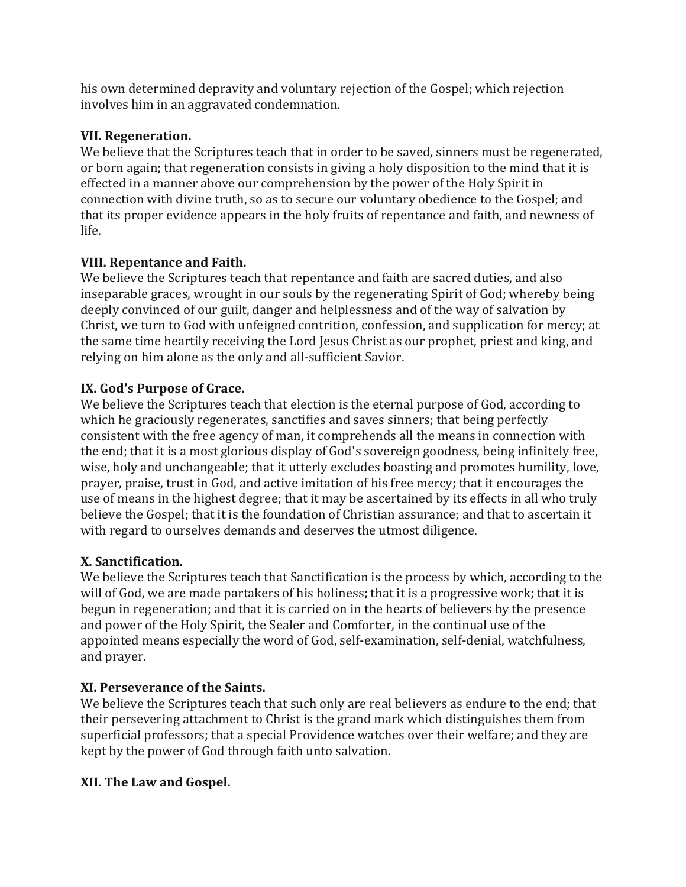his own determined depravity and voluntary rejection of the Gospel; which rejection involves him in an aggravated condemnation.

### **VII. Regeneration.**

We believe that the Scriptures teach that in order to be saved, sinners must be regenerated, or born again; that regeneration consists in giving a holy disposition to the mind that it is effected in a manner above our comprehension by the power of the Holy Spirit in connection with divine truth, so as to secure our voluntary obedience to the Gospel; and that its proper evidence appears in the holy fruits of repentance and faith, and newness of life.

### **VIII. Repentance and Faith.**

We believe the Scriptures teach that repentance and faith are sacred duties, and also inseparable graces, wrought in our souls by the regenerating Spirit of God; whereby being deeply convinced of our guilt, danger and helplessness and of the way of salvation by Christ, we turn to God with unfeigned contrition, confession, and supplication for mercy; at the same time heartily receiving the Lord Jesus Christ as our prophet, priest and king, and relying on him alone as the only and all-sufficient Savior.

#### **IX. God's Purpose of Grace.**

We believe the Scriptures teach that election is the eternal purpose of God, according to which he graciously regenerates, sanctifies and saves sinners; that being perfectly consistent with the free agency of man, it comprehends all the means in connection with the end; that it is a most glorious display of God's sovereign goodness, being infinitely free, wise, holy and unchangeable; that it utterly excludes boasting and promotes humility, love, prayer, praise, trust in God, and active imitation of his free mercy; that it encourages the use of means in the highest degree; that it may be ascertained by its effects in all who truly believe the Gospel; that it is the foundation of Christian assurance; and that to ascertain it with regard to ourselves demands and deserves the utmost diligence.

### **X. Sanctification.**

We believe the Scriptures teach that Sanctification is the process by which, according to the will of God, we are made partakers of his holiness; that it is a progressive work; that it is begun in regeneration; and that it is carried on in the hearts of believers by the presence and power of the Holy Spirit, the Sealer and Comforter, in the continual use of the appointed means especially the word of God, self-examination, self-denial, watchfulness, and prayer.

### **XI. Perseverance of the Saints.**

We believe the Scriptures teach that such only are real believers as endure to the end; that their persevering attachment to Christ is the grand mark which distinguishes them from superficial professors; that a special Providence watches over their welfare; and they are kept by the power of God through faith unto salvation.

### **XII. The Law and Gospel.**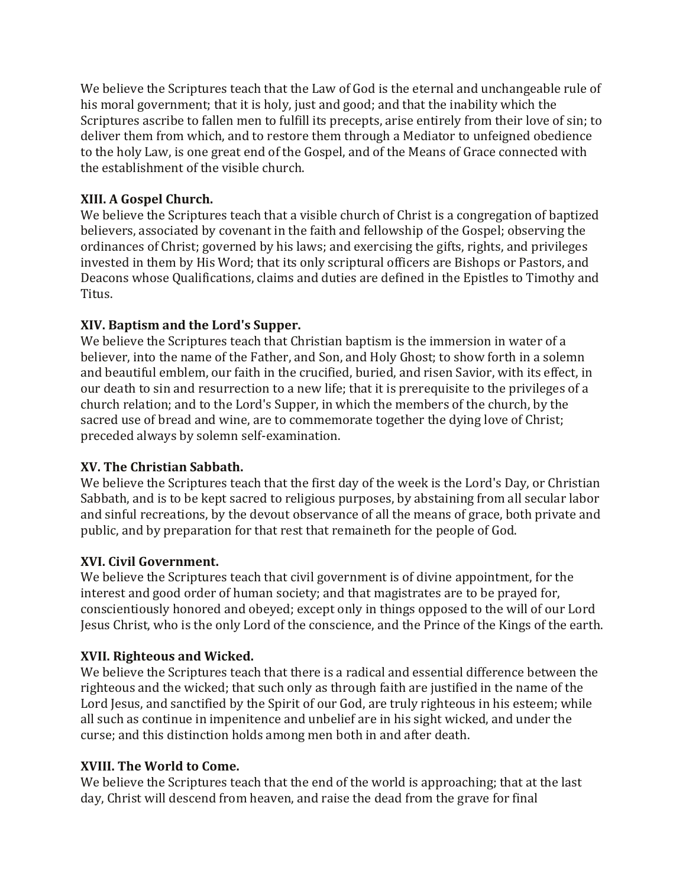We believe the Scriptures teach that the Law of God is the eternal and unchangeable rule of his moral government; that it is holy, just and good; and that the inability which the Scriptures ascribe to fallen men to fulfill its precepts, arise entirely from their love of sin; to deliver them from which, and to restore them through a Mediator to unfeigned obedience to the holy Law, is one great end of the Gospel, and of the Means of Grace connected with the establishment of the visible church.

## **XIII. A Gospel Church.**

We believe the Scriptures teach that a visible church of Christ is a congregation of baptized believers, associated by covenant in the faith and fellowship of the Gospel; observing the ordinances of Christ; governed by his laws; and exercising the gifts, rights, and privileges invested in them by His Word; that its only scriptural officers are Bishops or Pastors, and Deacons whose Qualifications, claims and duties are defined in the Epistles to Timothy and Titus.

## **XIV. Baptism and the Lord's Supper.**

We believe the Scriptures teach that Christian baptism is the immersion in water of a believer, into the name of the Father, and Son, and Holy Ghost; to show forth in a solemn and beautiful emblem, our faith in the crucified, buried, and risen Savior, with its effect, in our death to sin and resurrection to a new life; that it is prerequisite to the privileges of a church relation; and to the Lord's Supper, in which the members of the church, by the sacred use of bread and wine, are to commemorate together the dying love of Christ; preceded always by solemn self-examination.

### **XV. The Christian Sabbath.**

We believe the Scriptures teach that the first day of the week is the Lord's Day, or Christian Sabbath, and is to be kept sacred to religious purposes, by abstaining from all secular labor and sinful recreations, by the devout observance of all the means of grace, both private and public, and by preparation for that rest that remaineth for the people of God.

# **XVI. Civil Government.**

We believe the Scriptures teach that civil government is of divine appointment, for the interest and good order of human society; and that magistrates are to be prayed for, conscientiously honored and obeyed; except only in things opposed to the will of our Lord Jesus Christ, who is the only Lord of the conscience, and the Prince of the Kings of the earth.

### **XVII. Righteous and Wicked.**

We believe the Scriptures teach that there is a radical and essential difference between the righteous and the wicked; that such only as through faith are justified in the name of the Lord Jesus, and sanctified by the Spirit of our God, are truly righteous in his esteem; while all such as continue in impenitence and unbelief are in his sight wicked, and under the curse; and this distinction holds among men both in and after death.

# **XVIII. The World to Come.**

We believe the Scriptures teach that the end of the world is approaching; that at the last day, Christ will descend from heaven, and raise the dead from the grave for final